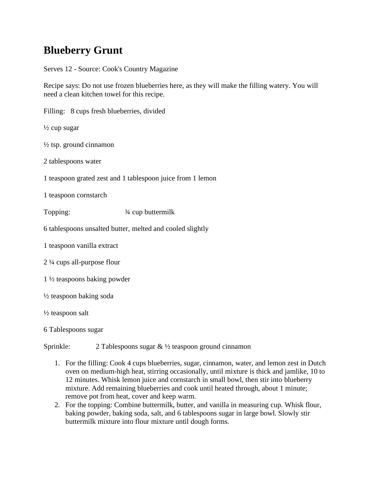## **Blueberry Grunt**

Serves 12 - Source: Cook's Country Magazine

Recipe says: Do not use frozen blueberries here, as they will make the filling watery. You will need a clean kitchen towel for this recipe.

Filling: 8 cups fresh blueberries, divided  $\frac{1}{2}$  cup sugar  $\frac{1}{2}$  tsp. ground cinnamon 2 tablespoons water 1 teaspoon grated zest and 1 tablespoon juice from 1 lemon 1 teaspoon cornstarch Topping:  $\frac{3}{4}$  cup buttermilk 6 tablespoons unsalted butter, melted and cooled slightly 1 teaspoon vanilla extract 2 ¼ cups all-purpose flour 1 ½ teaspoons baking powder ½ teaspoon baking soda ½ teaspoon salt 6 Tablespoons sugar

Sprinkle: 2 Tablespoons sugar & 1/2 teaspoon ground cinnamon

- 1. For the filling: Cook 4 cups blueberries, sugar, cinnamon, water, and lemon zest in Dutch oven on medium-high heat, stirring occasionally, until mixture is thick and jamlike, 10 to 12 minutes. Whisk lemon juice and cornstarch in small bowl, then stir into blueberry mixture. Add remaining blueberries and cook until heated through, about 1 minute; remove pot from heat, cover and keep warm.
- 2. For the topping: Combine buttermilk, butter, and vanilla in measuring cup. Whisk flour, baking powder, baking soda, salt, and 6 tablespoons sugar in large bowl. Slowly stir buttermilk mixture into flour mixture until dough forms.